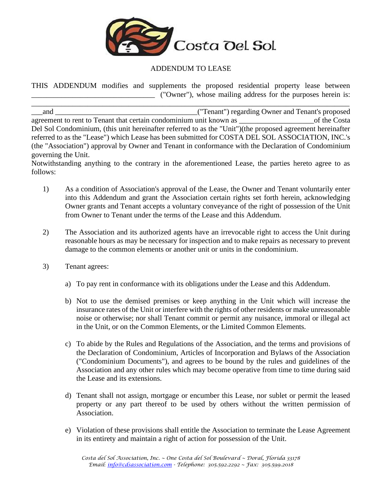

## ADDENDUM TO LEASE

THIS ADDENDUM modifies and supplements the proposed residential property lease between \_\_\_\_\_\_\_\_\_\_\_\_\_\_\_\_\_\_\_\_\_\_\_\_\_\_\_\_\_\_\_\_\_ ("Owner"), whose mailing address for the purposes herein is:

\_\_\_\_\_\_\_\_\_\_\_\_\_\_\_\_\_\_\_\_\_\_\_\_\_\_\_\_\_\_\_\_\_\_\_\_\_\_\_\_\_\_\_\_\_\_\_\_\_\_\_\_\_\_\_\_\_\_\_\_\_\_\_\_\_\_\_\_\_\_\_\_\_\_\_\_\_\_\_\_\_\_\_\_\_

\_\_\_and \_\_\_\_\_\_\_\_\_\_\_\_\_\_\_\_\_\_\_\_\_\_\_\_\_\_\_\_\_\_\_\_\_\_\_\_\_\_("Tenant") regarding Owner and Tenant's proposed agreement to rent to Tenant that certain condominium unit known as \_\_\_\_\_\_\_\_\_\_\_\_\_\_\_\_\_\_\_\_of the Costa Del Sol Condominium, (this unit hereinafter referred to as the "Unit")(the proposed agreement hereinafter referred to as the "Lease") which Lease has been submitted for COSTA DEL SOL ASSOCIATION, INC.'s (the "Association") approval by Owner and Tenant in conformance with the Declaration of Condominium governing the Unit.

Notwithstanding anything to the contrary in the aforementioned Lease, the parties hereto agree to as follows:

- 1) As a condition of Association's approval of the Lease, the Owner and Tenant voluntarily enter into this Addendum and grant the Association certain rights set forth herein, acknowledging Owner grants and Tenant accepts a voluntary conveyance of the right of possession of the Unit from Owner to Tenant under the terms of the Lease and this Addendum.
- 2) The Association and its authorized agents have an irrevocable right to access the Unit during reasonable hours as may be necessary for inspection and to make repairs as necessary to prevent damage to the common elements or another unit or units in the condominium.
- 3) Tenant agrees:
	- a) To pay rent in conformance with its obligations under the Lease and this Addendum.
	- b) Not to use the demised premises or keep anything in the Unit which will increase the insurance rates of the Unit or interfere with the rights of other residents or make unreasonable noise or otherwise; nor shall Tenant commit or permit any nuisance, immoral or illegal act in the Unit, or on the Common Elements, or the Limited Common Elements.
	- c) To abide by the Rules and Regulations of the Association, and the terms and provisions of the Declaration of Condominium, Articles of Incorporation and Bylaws of the Association ("Condominium Documents"), and agrees to be bound by the rules and guidelines of the Association and any other rules which may become operative from time to time during said the Lease and its extensions.
	- d) Tenant shall not assign, mortgage or encumber this Lease, nor sublet or permit the leased property or any part thereof to be used by others without the written permission of Association.
	- e) Violation of these provisions shall entitle the Association to terminate the Lease Agreement in its entirety and maintain a right of action for possession of the Unit.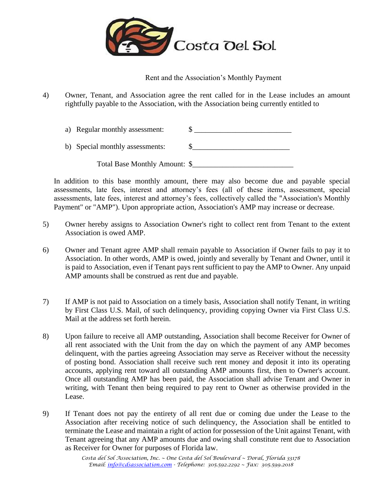

Rent and the Association's Monthly Payment

4) Owner, Tenant, and Association agree the rent called for in the Lease includes an amount rightfully payable to the Association, with the Association being currently entitled to

| a) Regular monthly assessment:  |  |
|---------------------------------|--|
| b) Special monthly assessments: |  |
| Total Base Monthly Amount: \$   |  |

In addition to this base monthly amount, there may also become due and payable special assessments, late fees, interest and attorney's fees (all of these items, assessment, special assessments, late fees, interest and attorney's fees, collectively called the "Association's Monthly Payment" or "AMP"). Upon appropriate action, Association's AMP may increase or decrease.

- 5) Owner hereby assigns to Association Owner's right to collect rent from Tenant to the extent Association is owed AMP.
- 6) Owner and Tenant agree AMP shall remain payable to Association if Owner fails to pay it to Association. In other words, AMP is owed, jointly and severally by Tenant and Owner, until it is paid to Association, even if Tenant pays rent sufficient to pay the AMP to Owner. Any unpaid AMP amounts shall be construed as rent due and payable.
- 7) If AMP is not paid to Association on a timely basis, Association shall notify Tenant, in writing by First Class U.S. Mail, of such delinquency, providing copying Owner via First Class U.S. Mail at the address set forth herein.
- 8) Upon failure to receive all AMP outstanding, Association shall become Receiver for Owner of all rent associated with the Unit from the day on which the payment of any AMP becomes delinquent, with the parties agreeing Association may serve as Receiver without the necessity of posting bond. Association shall receive such rent money and deposit it into its operating accounts, applying rent toward all outstanding AMP amounts first, then to Owner's account. Once all outstanding AMP has been paid, the Association shall advise Tenant and Owner in writing, with Tenant then being required to pay rent to Owner as otherwise provided in the Lease.
- 9) If Tenant does not pay the entirety of all rent due or coming due under the Lease to the Association after receiving notice of such delinquency, the Association shall be entitled to terminate the Lease and maintain a right of action for possession of the Unit against Tenant, with Tenant agreeing that any AMP amounts due and owing shall constitute rent due to Association as Receiver for Owner for purposes of Florida law.